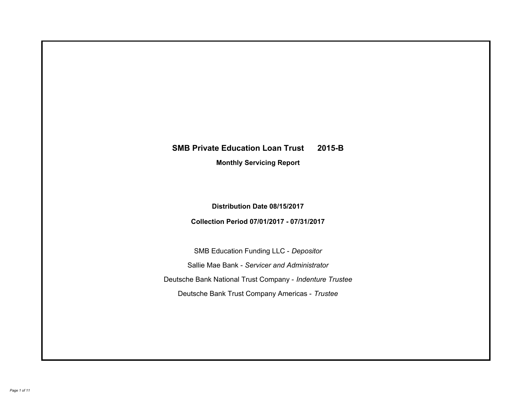# **SMB Private Education Loan Trust 2015-B Monthly Servicing Report**

**Distribution Date 08/15/2017**

**Collection Period 07/01/2017 - 07/31/2017**

SMB Education Funding LLC - *Depositor* Sallie Mae Bank - *Servicer and Administrator* Deutsche Bank National Trust Company - *Indenture Trustee* Deutsche Bank Trust Company Americas - *Trustee*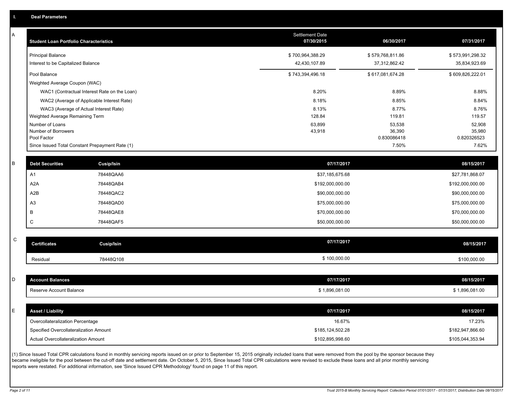| Α | <b>Student Loan Portfolio Characteristics</b> |                                                 | <b>Settlement Date</b><br>07/30/2015 | 06/30/2017            | 07/31/2017            |
|---|-----------------------------------------------|-------------------------------------------------|--------------------------------------|-----------------------|-----------------------|
|   | <b>Principal Balance</b>                      |                                                 | \$700,964,388.29                     | \$579,768,811.86      | \$573,991,298.32      |
|   | Interest to be Capitalized Balance            |                                                 | 42,430,107.89                        | 37,312,862.42         | 35,834,923.69         |
|   | Pool Balance                                  |                                                 | \$743,394,496.18                     | \$617,081,674.28      | \$609,826,222.01      |
|   | Weighted Average Coupon (WAC)                 |                                                 |                                      |                       |                       |
|   |                                               | WAC1 (Contractual Interest Rate on the Loan)    | 8.20%                                | 8.89%                 | 8.88%                 |
|   |                                               | WAC2 (Average of Applicable Interest Rate)      | 8.18%                                | 8.85%                 | 8.84%                 |
|   |                                               | WAC3 (Average of Actual Interest Rate)          | 8.13%                                | 8.77%                 | 8.76%                 |
|   | Weighted Average Remaining Term               |                                                 | 128.84                               | 119.81                | 119.57                |
|   | Number of Loans                               |                                                 | 63,899                               | 53,538                | 52,908                |
|   | Number of Borrowers<br>Pool Factor            |                                                 | 43,918                               | 36,390<br>0.830086418 | 35,980<br>0.820326523 |
|   |                                               | Since Issued Total Constant Prepayment Rate (1) |                                      | 7.50%                 | 7.62%                 |
|   |                                               |                                                 |                                      |                       |                       |
| B | <b>Debt Securities</b>                        | Cusip/Isin                                      | 07/17/2017                           |                       | 08/15/2017            |
|   | A1                                            | 78448QAA6                                       | \$37,185,675.68                      |                       | \$27,781,868.07       |
|   | A <sub>2</sub> A                              | 78448QAB4                                       | \$192,000,000.00                     |                       | \$192,000,000.00      |
|   | A2B                                           | 78448QAC2                                       | \$90,000,000.00                      |                       | \$90,000,000.00       |
|   | A <sub>3</sub>                                | 78448QAD0                                       | \$75,000,000.00                      |                       | \$75,000,000.00       |
|   | B                                             | 78448QAE8                                       | \$70,000,000.00                      |                       | \$70,000,000.00       |
|   | C                                             | 78448QAF5                                       | \$50,000,000.00                      |                       | \$50,000,000.00       |
| C |                                               |                                                 |                                      |                       |                       |
|   | <b>Certificates</b>                           | <b>Cusip/Isin</b>                               | 07/17/2017                           |                       | 08/15/2017            |
|   | Residual                                      | 78448Q108                                       | \$100,000.00                         |                       | \$100,000.00          |
|   |                                               |                                                 |                                      |                       |                       |
| D | <b>Account Balances</b>                       |                                                 | 07/17/2017                           |                       | 08/15/2017            |
|   | Reserve Account Balance                       |                                                 | \$1,896,081.00                       |                       | \$1,896,081.00        |
|   |                                               |                                                 |                                      |                       |                       |
| E | <b>Asset / Liability</b>                      |                                                 | 07/17/2017                           |                       | 08/15/2017            |
|   | Overcollateralization Percentage              |                                                 | 16.67%                               |                       | 17.23%                |
|   | Specified Overcollateralization Amount        |                                                 | \$185.124.502.28                     |                       | \$182.947.866.60      |

(1) Since Issued Total CPR calculations found in monthly servicing reports issued on or prior to September 15, 2015 originally included loans that were removed from the pool by the sponsor because they became ineligible for the pool between the cut-off date and settlement date. On October 5, 2015, Since Issued Total CPR calculations were revised to exclude these loans and all prior monthly servicing reports were restated. For additional information, see 'Since Issued CPR Methodology' found on page 11 of this report.

Actual Overcollateralization Amount \$102,895,998.60

\$105,044,353.94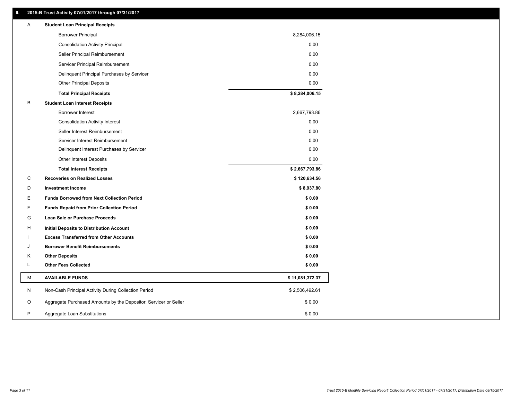## **II. 2015-B Trust Activity 07/01/2017 through 07/31/2017**

| Α | <b>Student Loan Principal Receipts</b>                           |                 |  |
|---|------------------------------------------------------------------|-----------------|--|
|   | <b>Borrower Principal</b>                                        | 8,284,006.15    |  |
|   | <b>Consolidation Activity Principal</b>                          | 0.00            |  |
|   | Seller Principal Reimbursement                                   | 0.00            |  |
|   | Servicer Principal Reimbursement                                 | 0.00            |  |
|   | Delinquent Principal Purchases by Servicer                       | 0.00            |  |
|   | <b>Other Principal Deposits</b>                                  | 0.00            |  |
|   | <b>Total Principal Receipts</b>                                  | \$8,284,006.15  |  |
| В | <b>Student Loan Interest Receipts</b>                            |                 |  |
|   | <b>Borrower Interest</b>                                         | 2,667,793.86    |  |
|   | <b>Consolidation Activity Interest</b>                           | 0.00            |  |
|   | Seller Interest Reimbursement                                    | 0.00            |  |
|   | Servicer Interest Reimbursement                                  | 0.00            |  |
|   | Delinquent Interest Purchases by Servicer                        | 0.00            |  |
|   | <b>Other Interest Deposits</b>                                   | 0.00            |  |
|   | <b>Total Interest Receipts</b>                                   | \$2,667,793.86  |  |
| C | <b>Recoveries on Realized Losses</b>                             | \$120,634.56    |  |
| D | <b>Investment Income</b>                                         | \$8,937.80      |  |
| Е | <b>Funds Borrowed from Next Collection Period</b>                | \$0.00          |  |
| F | <b>Funds Repaid from Prior Collection Period</b>                 | \$0.00          |  |
| G | Loan Sale or Purchase Proceeds                                   | \$0.00          |  |
| н | Initial Deposits to Distribution Account                         | \$0.00          |  |
|   | <b>Excess Transferred from Other Accounts</b>                    | \$0.00          |  |
| J | <b>Borrower Benefit Reimbursements</b>                           | \$0.00          |  |
| Κ | <b>Other Deposits</b>                                            | \$0.00          |  |
| L | <b>Other Fees Collected</b>                                      | \$0.00          |  |
| М | <b>AVAILABLE FUNDS</b>                                           | \$11,081,372.37 |  |
| N | Non-Cash Principal Activity During Collection Period             | \$2,506,492.61  |  |
| O | Aggregate Purchased Amounts by the Depositor, Servicer or Seller | \$0.00          |  |
| P | Aggregate Loan Substitutions                                     | \$0.00          |  |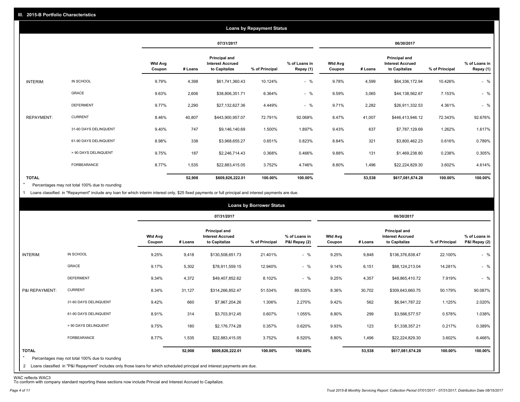|                   |                       |                          |         |                                                           | <b>Loans by Repayment Status</b> |                            |                          |         |                                                           |                |                            |
|-------------------|-----------------------|--------------------------|---------|-----------------------------------------------------------|----------------------------------|----------------------------|--------------------------|---------|-----------------------------------------------------------|----------------|----------------------------|
|                   |                       |                          |         | 07/31/2017                                                |                                  |                            |                          |         | 06/30/2017                                                |                |                            |
|                   |                       | <b>Wtd Avg</b><br>Coupon | # Loans | Principal and<br><b>Interest Accrued</b><br>to Capitalize | % of Principal                   | % of Loans in<br>Repay (1) | <b>Wtd Avg</b><br>Coupon | # Loans | Principal and<br><b>Interest Accrued</b><br>to Capitalize | % of Principal | % of Loans in<br>Repay (1) |
| INTERIM:          | IN SCHOOL             | 9.79%                    | 4,398   | \$61,741,360.43                                           | 10.124%                          | $-$ %                      | 9.78%                    | 4,599   | \$64,336,172.94                                           | 10.426%        | $-$ %                      |
|                   | GRACE                 | 9.63%                    | 2,606   | \$38,806,351.71                                           | 6.364%                           | $-$ %                      | 9.59%                    | 3,065   | \$44,138,562.67                                           | 7.153%         | $-$ %                      |
|                   | <b>DEFERMENT</b>      | 9.77%                    | 2,290   | \$27,132,627.36                                           | 4.449%                           | $-$ %                      | 9.71%                    | 2,282   | \$26,911,332.53                                           | 4.361%         | $-$ %                      |
| <b>REPAYMENT:</b> | <b>CURRENT</b>        | 8.46%                    | 40,807  | \$443,900,957.07                                          | 72.791%                          | 92.068%                    | 8.47%                    | 41,007  | \$446,413,946.12                                          | 72.343%        | 92.676%                    |
|                   | 31-60 DAYS DELINQUENT | 9.40%                    | 747     | \$9,146,140.69                                            | 1.500%                           | 1.897%                     | 9.43%                    | 637     | \$7,787,129.69                                            | 1.262%         | 1.617%                     |
|                   | 61-90 DAYS DELINQUENT | 8.98%                    | 338     | \$3,968,655.27                                            | 0.651%                           | 0.823%                     | 8.84%                    | 321     | \$3,800,462.23                                            | 0.616%         | 0.789%                     |
|                   | > 90 DAYS DELINQUENT  | 9.75%                    | 187     | \$2,246,714.43                                            | 0.368%                           | 0.466%                     | 9.88%                    | 131     | \$1,469,238.80                                            | 0.238%         | 0.305%                     |
|                   | <b>FORBEARANCE</b>    | 8.77%                    | 1,535   | \$22,883,415.05                                           | 3.752%                           | 4.746%                     | 8.80%                    | 1,496   | \$22,224,829.30                                           | 3.602%         | 4.614%                     |
| <b>TOTAL</b>      |                       |                          | 52,908  | \$609,826,222.01                                          | 100.00%                          | 100.00%                    |                          | 53,538  | \$617,081,674.28                                          | 100.00%        | 100.00%                    |

Percentages may not total 100% due to rounding \*

1 Loans classified in "Repayment" include any loan for which interim interest only, \$25 fixed payments or full principal and interest payments are due.

|                         |                                                                                                                              |                          |         |                                                           | <b>Loans by Borrower Status</b> |                                |                          |         |                                                           |                |                                |
|-------------------------|------------------------------------------------------------------------------------------------------------------------------|--------------------------|---------|-----------------------------------------------------------|---------------------------------|--------------------------------|--------------------------|---------|-----------------------------------------------------------|----------------|--------------------------------|
|                         |                                                                                                                              |                          |         | 07/31/2017                                                |                                 |                                |                          |         | 06/30/2017                                                |                |                                |
|                         |                                                                                                                              | <b>Wtd Avg</b><br>Coupon | # Loans | Principal and<br><b>Interest Accrued</b><br>to Capitalize | % of Principal                  | % of Loans in<br>P&I Repay (2) | <b>Wtd Avg</b><br>Coupon | # Loans | Principal and<br><b>Interest Accrued</b><br>to Capitalize | % of Principal | % of Loans in<br>P&I Repay (2) |
| INTERIM:                | IN SCHOOL                                                                                                                    | 9.25%                    | 9,418   | \$130,508,651.73                                          | 21.401%                         | $-$ %                          | 9.25%                    | 9,848   | \$136,376,838.47                                          | 22.100%        | $-$ %                          |
|                         | GRACE                                                                                                                        | 9.17%                    | 5,302   | \$78,911,559.15                                           | 12.940%                         | $-$ %                          | 9.14%                    | 6,151   | \$88,124,213.04                                           | 14.281%        | $-$ %                          |
|                         | <b>DEFERMENT</b>                                                                                                             | 9.34%                    | 4,372   | \$49,407,852.62                                           | 8.102%                          | $-$ %                          | 9.25%                    | 4,357   | \$48,865,410.72                                           | 7.919%         | $-$ %                          |
| P&I REPAYMENT:          | <b>CURRENT</b>                                                                                                               | 8.34%                    | 31,127  | \$314,266,852.47                                          | 51.534%                         | 89.535%                        | 8.36%                    | 30,702  | \$309,643,660.75                                          | 50.179%        | 90.087%                        |
|                         | 31-60 DAYS DELINQUENT                                                                                                        | 9.42%                    | 660     | \$7,967,204.26                                            | 1.306%                          | 2.270%                         | 9.42%                    | 562     | \$6,941,787.22                                            | 1.125%         | 2.020%                         |
|                         | 61-90 DAYS DELINQUENT                                                                                                        | 8.91%                    | 314     | \$3,703,912.45                                            | 0.607%                          | 1.055%                         | 8.80%                    | 299     | \$3,566,577.57                                            | 0.578%         | 1.038%                         |
|                         | > 90 DAYS DELINQUENT                                                                                                         | 9.75%                    | 180     | \$2,176,774.28                                            | 0.357%                          | 0.620%                         | 9.93%                    | 123     | \$1,338,357.21                                            | 0.217%         | 0.389%                         |
|                         | FORBEARANCE                                                                                                                  | 8.77%                    | 1,535   | \$22,883,415.05                                           | 3.752%                          | 6.520%                         | 8.80%                    | 1,496   | \$22,224,829.30                                           | 3.602%         | 6.466%                         |
| <b>TOTAL</b><br>$\star$ | Percentages may not total 100% due to rounding                                                                               |                          | 52,908  | \$609,826,222.01                                          | 100.00%                         | 100.00%                        |                          | 53,538  | \$617,081,674.28                                          | 100.00%        | 100.00%                        |
|                         | 2 Loans classified in "P&I Repayment" includes only those loans for which scheduled principal and interest payments are due. |                          |         |                                                           |                                 |                                |                          |         |                                                           |                |                                |

WAC reflects WAC3 To conform with company standard reporting these sections now include Princial and Interest Accrued to Capitalize.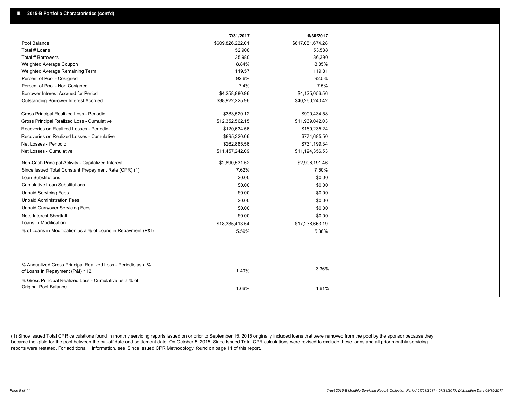|                                                               | 7/31/2017        | 6/30/2017        |
|---------------------------------------------------------------|------------------|------------------|
| Pool Balance                                                  | \$609,826,222.01 | \$617,081,674.28 |
| Total # Loans                                                 | 52,908           | 53,538           |
| Total # Borrowers                                             | 35,980           | 36,390           |
| Weighted Average Coupon                                       | 8.84%            | 8.85%            |
| Weighted Average Remaining Term                               | 119.57           | 119.81           |
| Percent of Pool - Cosigned                                    | 92.6%            | 92.5%            |
| Percent of Pool - Non Cosigned                                | 7.4%             | 7.5%             |
| Borrower Interest Accrued for Period                          | \$4,258,880.96   | \$4,125,056.56   |
| <b>Outstanding Borrower Interest Accrued</b>                  | \$38,922,225.96  | \$40,260,240.42  |
| Gross Principal Realized Loss - Periodic                      | \$383,520.12     | \$900,434.58     |
| Gross Principal Realized Loss - Cumulative                    | \$12,352,562.15  | \$11,969,042.03  |
| Recoveries on Realized Losses - Periodic                      | \$120,634.56     | \$169,235.24     |
| Recoveries on Realized Losses - Cumulative                    | \$895,320.06     | \$774,685.50     |
| Net Losses - Periodic                                         | \$262,885.56     | \$731,199.34     |
| Net Losses - Cumulative                                       | \$11,457,242.09  | \$11,194,356.53  |
| Non-Cash Principal Activity - Capitalized Interest            | \$2,890,531.52   | \$2,906,191.46   |
| Since Issued Total Constant Prepayment Rate (CPR) (1)         | 7.62%            | 7.50%            |
| <b>Loan Substitutions</b>                                     | \$0.00           | \$0.00           |
| Cumulative Loan Substitutions                                 | \$0.00           | \$0.00           |
| <b>Unpaid Servicing Fees</b>                                  | \$0.00           | \$0.00           |
| <b>Unpaid Administration Fees</b>                             | \$0.00           | \$0.00           |
| <b>Unpaid Carryover Servicing Fees</b>                        | \$0.00           | \$0.00           |
| Note Interest Shortfall                                       | \$0.00           | \$0.00           |
| Loans in Modification                                         | \$18,335,413.54  | \$17,238,663.19  |
| % of Loans in Modification as a % of Loans in Repayment (P&I) | 5.59%            | 5.36%            |
|                                                               |                  |                  |
| % Annualized Gross Principal Realized Loss - Periodic as a %  |                  | 3.36%            |
| of Loans in Repayment (P&I) * 12                              | 1.40%            |                  |
| % Gross Principal Realized Loss - Cumulative as a % of        |                  |                  |
| Original Pool Balance                                         | 1.66%            | 1.61%            |

(1) Since Issued Total CPR calculations found in monthly servicing reports issued on or prior to September 15, 2015 originally included loans that were removed from the pool by the sponsor because they became ineligible for the pool between the cut-off date and settlement date. On October 5, 2015, Since Issued Total CPR calculations were revised to exclude these loans and all prior monthly servicing reports were restated. For additional information, see 'Since Issued CPR Methodology' found on page 11 of this report.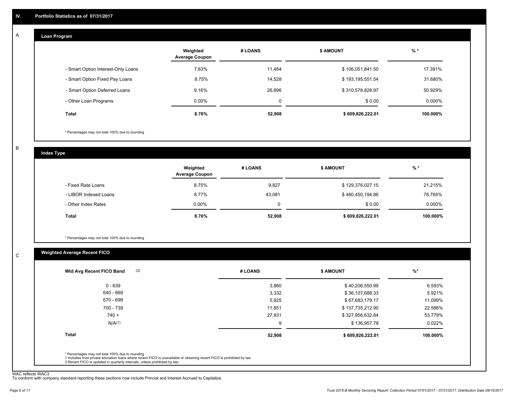#### **Loan Program**  A

|                                    | Weighted<br><b>Average Coupon</b> | # LOANS | <b>\$ AMOUNT</b> | $%$ *     |
|------------------------------------|-----------------------------------|---------|------------------|-----------|
| - Smart Option Interest-Only Loans | 7.63%                             | 11,484  | \$106,051,841.50 | 17.391%   |
| - Smart Option Fixed Pay Loans     | 8.75%                             | 14,528  | \$193,195,551.54 | 31.680%   |
| - Smart Option Deferred Loans      | 9.16%                             | 26,896  | \$310,578,828.97 | 50.929%   |
| - Other Loan Programs              | $0.00\%$                          | 0       | \$0.00           | $0.000\%$ |
| <b>Total</b>                       | 8.76%                             | 52,908  | \$609,826,222.01 | 100.000%  |

\* Percentages may not total 100% due to rounding

B

C

**Index Type**

|                       | Weighted<br><b>Average Coupon</b> | # LOANS | <b>S AMOUNT</b>  | $%$ *     |
|-----------------------|-----------------------------------|---------|------------------|-----------|
| - Fixed Rate Loans    | 8.75%                             | 9,827   | \$129,376,027.15 | 21.215%   |
| - LIBOR Indexed Loans | 8.77%                             | 43,081  | \$480,450,194.86 | 78.785%   |
| - Other Index Rates   | $0.00\%$                          |         | \$0.00           | $0.000\%$ |
| <b>Total</b>          | 8.76%                             | 52,908  | \$609,826,222.01 | 100.000%  |

\* Percentages may not total 100% due to rounding

## **Weighted Average Recent FICO**

| (2)<br>Wtd Avg Recent FICO Band | # LOANS | <b>\$ AMOUNT</b> | $\frac{9}{6}$ * |
|---------------------------------|---------|------------------|-----------------|
| $0 - 639$                       | 3,860   | \$40,206,550.99  | 6.593%          |
| 640 - 669                       | 3,332   | \$36,107,688.33  | 5.921%          |
| 670 - 699                       | 5,925   | \$67,683,179.17  | 11.099%         |
| 700 - 739                       | 11.851  | \$137,735,212.90 | 22.586%         |
| $740 +$                         | 27,931  | \$327,956,632.84 | 53.779%         |
| N/A <sup>(1)</sup>              | 9       | \$136,957.78     | $0.022\%$       |
| <b>Total</b>                    | 52,908  | \$609,826,222.01 | 100.000%        |
|                                 |         |                  |                 |

WAC reflects WAC3 To conform with company standard reporting these sections now include Princial and Interest Accrued to Capitalize.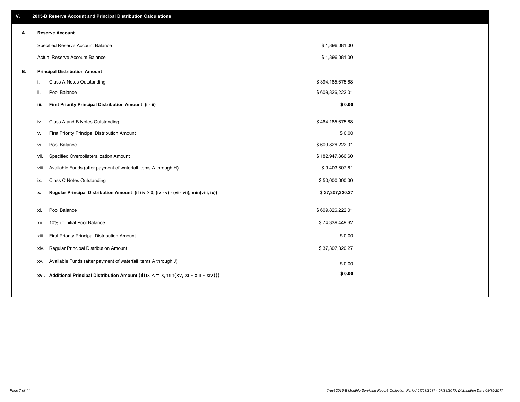| ۷. |      | 2015-B Reserve Account and Principal Distribution Calculations                                      |                  |  |
|----|------|-----------------------------------------------------------------------------------------------------|------------------|--|
| А. |      | <b>Reserve Account</b>                                                                              |                  |  |
|    |      | Specified Reserve Account Balance                                                                   | \$1,896,081.00   |  |
|    |      | <b>Actual Reserve Account Balance</b>                                                               | \$1,896,081.00   |  |
| В. |      | <b>Principal Distribution Amount</b>                                                                |                  |  |
|    | j.   | Class A Notes Outstanding                                                                           | \$394,185,675.68 |  |
|    | ii.  | Pool Balance                                                                                        | \$609,826,222.01 |  |
|    | iii. | First Priority Principal Distribution Amount (i - ii)                                               | \$0.00           |  |
|    |      |                                                                                                     |                  |  |
|    | iv.  | Class A and B Notes Outstanding                                                                     | \$464,185,675.68 |  |
|    | v.   | First Priority Principal Distribution Amount                                                        | \$0.00           |  |
|    | vi.  | Pool Balance                                                                                        | \$609,826,222.01 |  |
|    |      | Specified Overcollateralization Amount<br>vii.                                                      | \$182,947,866.60 |  |
|    |      | Available Funds (after payment of waterfall items A through H)<br>viii.                             | \$9,403,807.61   |  |
|    | ix.  | <b>Class C Notes Outstanding</b>                                                                    | \$50,000,000.00  |  |
|    | x.   | Regular Principal Distribution Amount (if (iv > 0, (iv - v) - (vi - vii), min(viii, ix))            | \$37,307,320.27  |  |
|    | xi.  | Pool Balance                                                                                        | \$609,826,222.01 |  |
|    | xii. | 10% of Initial Pool Balance                                                                         | \$74,339,449.62  |  |
|    |      | First Priority Principal Distribution Amount<br>xiii.                                               | \$0.00           |  |
|    |      |                                                                                                     | \$37,307,320.27  |  |
|    |      | Regular Principal Distribution Amount<br>xiv.                                                       |                  |  |
|    |      | Available Funds (after payment of waterfall items A through J)<br>XV.                               | \$0.00           |  |
|    |      | xvi. Additional Principal Distribution Amount (if( $ix \le x$ , min( $xv$ , $xi$ - $xiii - xiv$ ))) | \$0.00           |  |
|    |      |                                                                                                     |                  |  |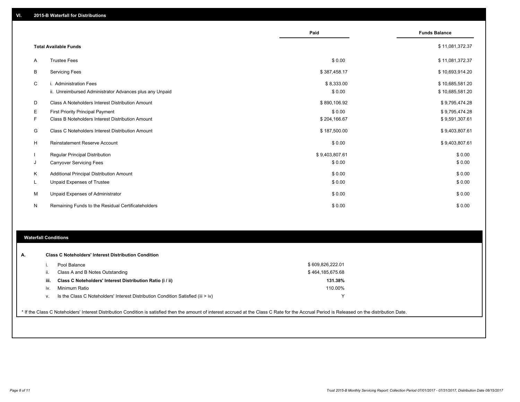|    |                                                                                   | Paid                 | <b>Funds Balance</b>               |
|----|-----------------------------------------------------------------------------------|----------------------|------------------------------------|
|    | <b>Total Available Funds</b>                                                      |                      | \$11,081,372.37                    |
| A  | <b>Trustee Fees</b>                                                               | \$0.00               | \$11,081,372.37                    |
| B  | <b>Servicing Fees</b>                                                             | \$387,458.17         | \$10,693,914.20                    |
| C  | i. Administration Fees<br>ii. Unreimbursed Administrator Advances plus any Unpaid | \$8,333.00<br>\$0.00 | \$10,685,581.20<br>\$10,685,581.20 |
| D  | Class A Noteholders Interest Distribution Amount                                  | \$890,106.92         | \$9,795,474.28                     |
| Е  | First Priority Principal Payment                                                  | \$0.00               | \$9,795,474.28                     |
| F  | Class B Noteholders Interest Distribution Amount                                  | \$204,166.67         | \$9,591,307.61                     |
| G  | Class C Noteholders Interest Distribution Amount                                  | \$187,500.00         | \$9,403,807.61                     |
| H  | <b>Reinstatement Reserve Account</b>                                              | \$0.00               | \$9,403,807.61                     |
|    | Regular Principal Distribution                                                    | \$9,403,807.61       | \$0.00                             |
| J  | <b>Carryover Servicing Fees</b>                                                   | \$0.00               | \$0.00                             |
| Κ  | Additional Principal Distribution Amount                                          | \$0.00               | \$0.00                             |
| L. | Unpaid Expenses of Trustee                                                        | \$0.00               | \$0.00                             |
| M  | Unpaid Expenses of Administrator                                                  | \$0.00               | \$0.00                             |
| N  | Remaining Funds to the Residual Certificateholders                                | \$0.00               | \$0.00                             |

#### **Waterfall Conditions**

| А. |      | <b>Class C Noteholders' Interest Distribution Condition</b>                      |                  |  |
|----|------|----------------------------------------------------------------------------------|------------------|--|
|    |      | Pool Balance                                                                     | \$609,826,222.01 |  |
|    | ш.   | Class A and B Notes Outstanding                                                  | \$464,185,675.68 |  |
|    | iii. | Class C Noteholders' Interest Distribution Ratio (i / ii)                        | 131.38%          |  |
|    | iv.  | Minimum Ratio                                                                    | 110.00%          |  |
|    | ν.   | Is the Class C Noteholders' Interest Distribution Condition Satisfied (iii > iv) | v                |  |
|    |      |                                                                                  |                  |  |

\* If the Class C Noteholders' Interest Distribution Condition is satisfied then the amount of interest accrued at the Class C Rate for the Accrual Period is Released on the distribution Date.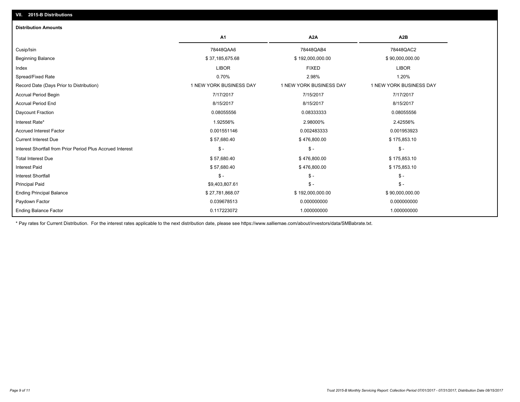| <b>Distribution Amounts</b>                                |                         |                         |                         |
|------------------------------------------------------------|-------------------------|-------------------------|-------------------------|
|                                                            | A <sub>1</sub>          | A <sub>2</sub> A        | A2B                     |
| Cusip/Isin                                                 | 78448QAA6               | 78448QAB4               | 78448QAC2               |
| <b>Beginning Balance</b>                                   | \$37,185,675.68         | \$192,000,000.00        | \$90,000,000.00         |
| Index                                                      | <b>LIBOR</b>            | <b>FIXED</b>            | <b>LIBOR</b>            |
| Spread/Fixed Rate                                          | 0.70%                   | 2.98%                   | 1.20%                   |
| Record Date (Days Prior to Distribution)                   | 1 NEW YORK BUSINESS DAY | 1 NEW YORK BUSINESS DAY | 1 NEW YORK BUSINESS DAY |
| <b>Accrual Period Begin</b>                                | 7/17/2017               | 7/15/2017               | 7/17/2017               |
| <b>Accrual Period End</b>                                  | 8/15/2017               | 8/15/2017               | 8/15/2017               |
| Daycount Fraction                                          | 0.08055556              | 0.08333333              | 0.08055556              |
| Interest Rate*                                             | 1.92556%                | 2.98000%                | 2.42556%                |
| <b>Accrued Interest Factor</b>                             | 0.001551146             | 0.002483333             | 0.001953923             |
| <b>Current Interest Due</b>                                | \$57,680.40             | \$476,800.00            | \$175,853.10            |
| Interest Shortfall from Prior Period Plus Accrued Interest | $\mathsf{\$}$ -         | $\mathsf{\$}$ -         | $\mathsf{\$}$ -         |
| <b>Total Interest Due</b>                                  | \$57,680.40             | \$476,800.00            | \$175,853.10            |
| <b>Interest Paid</b>                                       | \$57,680.40             | \$476,800.00            | \$175,853.10            |
| <b>Interest Shortfall</b>                                  | $\mathsf{\$}$ -         | $S -$                   | $S -$                   |
| <b>Principal Paid</b>                                      | \$9,403,807.61          | $S -$                   | $S -$                   |
| <b>Ending Principal Balance</b>                            | \$27,781,868.07         | \$192,000,000.00        | \$90,000,000.00         |
| Paydown Factor                                             | 0.039678513             | 0.000000000             | 0.000000000             |
| <b>Ending Balance Factor</b>                               | 0.117223072             | 1.000000000             | 1.000000000             |

\* Pay rates for Current Distribution. For the interest rates applicable to the next distribution date, please see https://www.salliemae.com/about/investors/data/SMBabrate.txt.

**VII. 2015-B Distributions**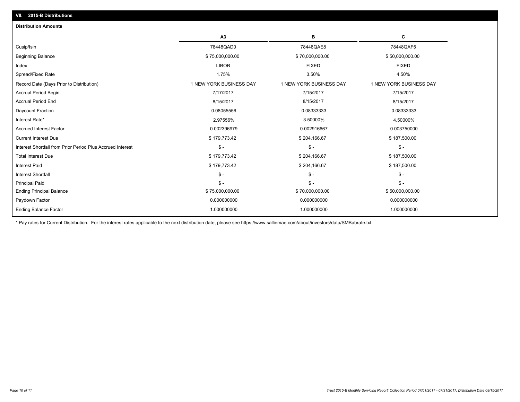| A3<br>в<br>С<br>78448QAD0<br>78448QAF5<br>78448QAE8<br>\$75,000,000.00<br>\$70,000,000.00<br>\$50,000,000.00<br><b>FIXED</b><br><b>LIBOR</b><br><b>FIXED</b><br>1.75%<br>3.50%<br>4.50%<br>1 NEW YORK BUSINESS DAY<br>1 NEW YORK BUSINESS DAY<br>1 NEW YORK BUSINESS DAY<br>7/17/2017<br>7/15/2017<br>7/15/2017<br>8/15/2017<br>8/15/2017<br>8/15/2017<br>0.08055556<br>0.08333333<br>0.08333333<br>2.97556%<br>3.50000%<br>4.50000%<br>0.002916667<br>0.003750000<br>0.002396979<br>\$179,773.42<br>\$204,166.67<br>\$187,500.00<br>$\frac{2}{3}$ -<br>$S -$<br>$\mathsf{\$}$ -<br>\$179,773.42<br>\$204,166.67<br>\$187,500.00<br>\$179,773.42<br>\$204,166.67<br>\$187,500.00<br>$\mathsf{\$}$ -<br>$S -$<br>$\mathsf{\$}$ - | <b>Distribution Amounts</b>                                |  |  |
|---------------------------------------------------------------------------------------------------------------------------------------------------------------------------------------------------------------------------------------------------------------------------------------------------------------------------------------------------------------------------------------------------------------------------------------------------------------------------------------------------------------------------------------------------------------------------------------------------------------------------------------------------------------------------------------------------------------------------------|------------------------------------------------------------|--|--|
|                                                                                                                                                                                                                                                                                                                                                                                                                                                                                                                                                                                                                                                                                                                                 |                                                            |  |  |
|                                                                                                                                                                                                                                                                                                                                                                                                                                                                                                                                                                                                                                                                                                                                 | Cusip/Isin                                                 |  |  |
|                                                                                                                                                                                                                                                                                                                                                                                                                                                                                                                                                                                                                                                                                                                                 | <b>Beginning Balance</b>                                   |  |  |
|                                                                                                                                                                                                                                                                                                                                                                                                                                                                                                                                                                                                                                                                                                                                 | Index                                                      |  |  |
|                                                                                                                                                                                                                                                                                                                                                                                                                                                                                                                                                                                                                                                                                                                                 | Spread/Fixed Rate                                          |  |  |
|                                                                                                                                                                                                                                                                                                                                                                                                                                                                                                                                                                                                                                                                                                                                 | Record Date (Days Prior to Distribution)                   |  |  |
|                                                                                                                                                                                                                                                                                                                                                                                                                                                                                                                                                                                                                                                                                                                                 | <b>Accrual Period Begin</b>                                |  |  |
|                                                                                                                                                                                                                                                                                                                                                                                                                                                                                                                                                                                                                                                                                                                                 | <b>Accrual Period End</b>                                  |  |  |
|                                                                                                                                                                                                                                                                                                                                                                                                                                                                                                                                                                                                                                                                                                                                 | Daycount Fraction                                          |  |  |
|                                                                                                                                                                                                                                                                                                                                                                                                                                                                                                                                                                                                                                                                                                                                 | Interest Rate*                                             |  |  |
|                                                                                                                                                                                                                                                                                                                                                                                                                                                                                                                                                                                                                                                                                                                                 | <b>Accrued Interest Factor</b>                             |  |  |
|                                                                                                                                                                                                                                                                                                                                                                                                                                                                                                                                                                                                                                                                                                                                 | <b>Current Interest Due</b>                                |  |  |
|                                                                                                                                                                                                                                                                                                                                                                                                                                                                                                                                                                                                                                                                                                                                 | Interest Shortfall from Prior Period Plus Accrued Interest |  |  |
|                                                                                                                                                                                                                                                                                                                                                                                                                                                                                                                                                                                                                                                                                                                                 | <b>Total Interest Due</b>                                  |  |  |
|                                                                                                                                                                                                                                                                                                                                                                                                                                                                                                                                                                                                                                                                                                                                 | <b>Interest Paid</b>                                       |  |  |
|                                                                                                                                                                                                                                                                                                                                                                                                                                                                                                                                                                                                                                                                                                                                 | <b>Interest Shortfall</b>                                  |  |  |
| $\mathsf{\$}$ -<br>$S -$<br>$S -$                                                                                                                                                                                                                                                                                                                                                                                                                                                                                                                                                                                                                                                                                               | <b>Principal Paid</b>                                      |  |  |
| \$75,000,000.00<br>\$70,000,000.00<br>\$50,000,000.00                                                                                                                                                                                                                                                                                                                                                                                                                                                                                                                                                                                                                                                                           | <b>Ending Principal Balance</b>                            |  |  |
| 0.000000000<br>0.000000000<br>0.000000000                                                                                                                                                                                                                                                                                                                                                                                                                                                                                                                                                                                                                                                                                       | Paydown Factor                                             |  |  |
| 1.000000000<br>1.000000000<br>1.000000000                                                                                                                                                                                                                                                                                                                                                                                                                                                                                                                                                                                                                                                                                       | <b>Ending Balance Factor</b>                               |  |  |

\* Pay rates for Current Distribution. For the interest rates applicable to the next distribution date, please see https://www.salliemae.com/about/investors/data/SMBabrate.txt.

**VII. 2015-B Distributions**